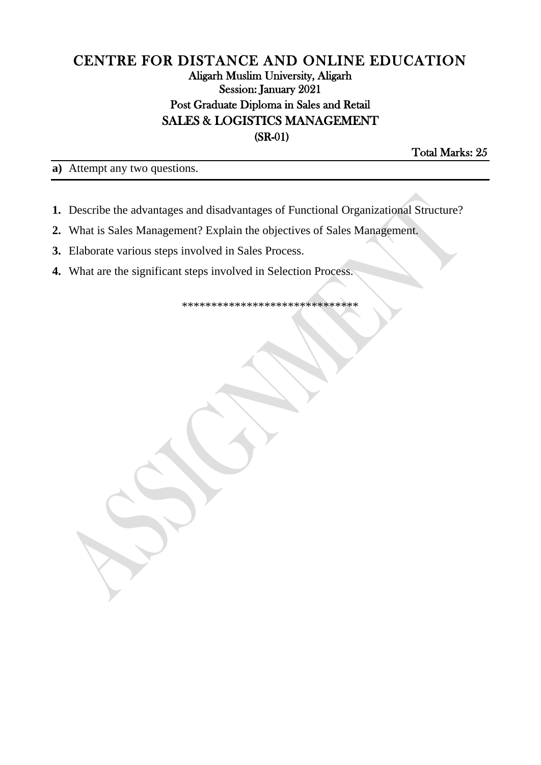## CENTRE FOR DISTANCE AND ONLINE EDUCATION Aligarh Muslim University, Aligarh Session: January 2021 Post Graduate Diploma in Sales and Retail **SALES & LOGISTICS MANAGEMENT**  $(SR-01)$

Total Marks: 25

a) Attempt any two questions.

- 1. Describe the advantages and disadvantages of Functional Organizational Structure?
- 2. What is Sales Management? Explain the objectives of Sales Management.
- 3. Elaborate various steps involved in Sales Process.
- 4. What are the significant steps involved in Selection Process.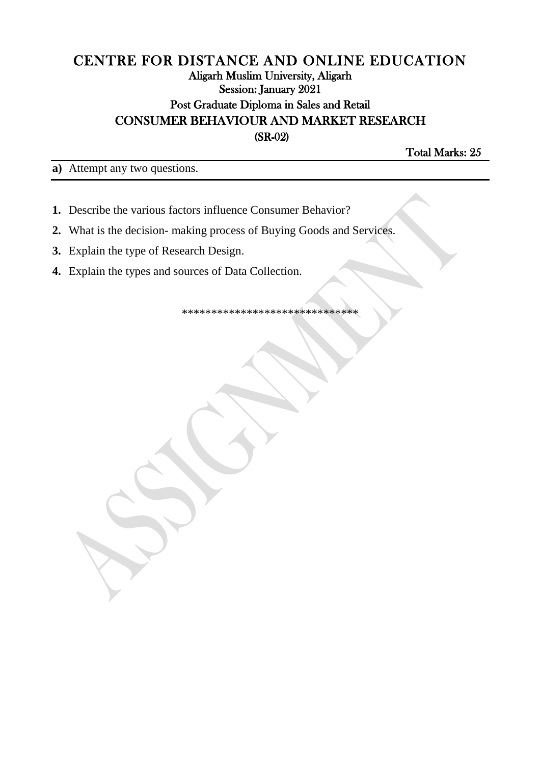## CENTRE FOR DISTANCE AND ONLINE EDUCATION **Aligarh Muslim University, Aligarh** Session: January 2021 Post Graduate Diploma in Sales and Retail **CONSUMER BEHAVIOUR AND MARKET RESEARCH**  $(SR-02)$

Total Marks: 25

a) Attempt any two questions.

- 1. Describe the various factors influence Consumer Behavior?
- 2. What is the decision- making process of Buying Goods and Services.
- 3. Explain the type of Research Design.
- 4. Explain the types and sources of Data Collection.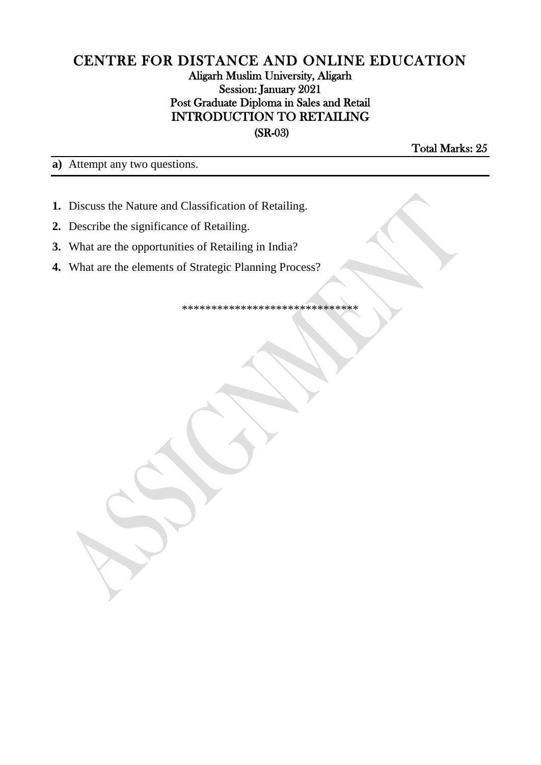#### CENTRE FOR DISTANCE AND ONLINE EDUCATION Aligarh Muslim University, Aligarh Session: January 2021 Post Graduate Diploma in Sales and Retail **INTRODUCTION TO RETAILING**  $(SR-03)$

**Total Marks: 25** 

a) Attempt any two questions.

- 1. Discuss the Nature and Classification of Retailing.
- 2. Describe the significance of Retailing.
- 3. What are the opportunities of Retailing in India?
- 4. What are the elements of Strategic Planning Process?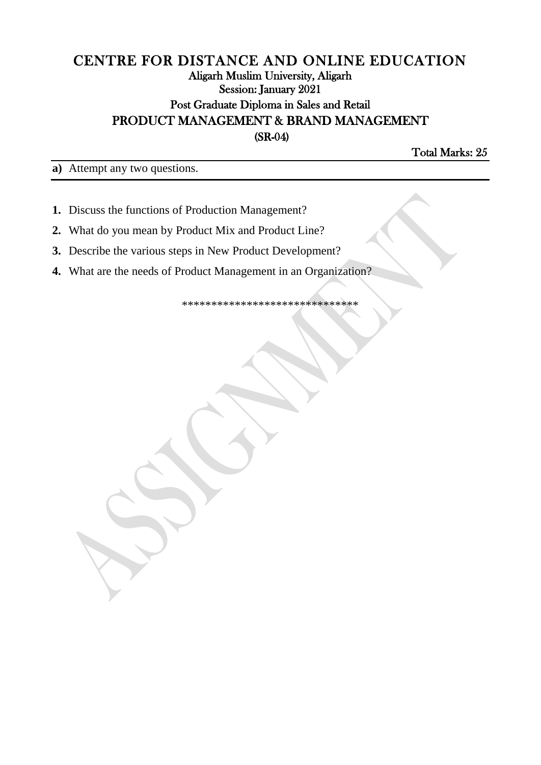## CENTRE FOR DISTANCE AND ONLINE EDUCATION Aligarh Muslim University, Aligarh Session: January 2021 Post Graduate Diploma in Sales and Retail PRODUCT MANAGEMENT & BRAND MANAGEMENT  $(SR-04)$

Total Marks: 25

a) Attempt any two questions.

- 1. Discuss the functions of Production Management?
- 2. What do you mean by Product Mix and Product Line?
- 3. Describe the various steps in New Product Development?
- 4. What are the needs of Product Management in an Organization?